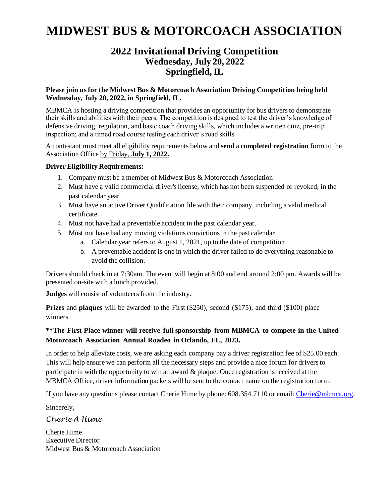## **MIDWEST BUS & MOTORCOACH ASSOCIATION**

### **2022 Invitational Driving Competition Wednesday, July 20, 2022 Springfield, IL**

#### **Please join us for the Midwest Bus & Motorcoach Association Driving Competition being held Wednesday, July 20, 2022, in Springfield, IL.**

MBMCA is hosting a driving competition that provides an opportunity for bus drivers to demonstrate their skills and abilities with their peers. The competition is designed to test the driver's knowledge of defensive driving, regulation, and basic coach driving skills, which includes a written quiz, pre-trip inspection; and a timed road course testing each driver's road skills.

A contestant must meet all eligibility requirements below and **send** a **completed registration** form to the Association Office by Friday, **July 1, 2022.**

#### **Driver Eligibility Requirements:**

- 1. Company must be a member of Midwest Bus & Motorcoach Association
- 2. Must have a valid commercial driver's license, which has not been suspended or revoked, in the past calendar year
- 3. Must have an active Driver Qualification file with their company, including a valid medical certificate
- 4. Must not have had a preventable accident in the past calendar year.
- 5. Must not have had any moving violations convictions in the past calendar
	- a. Calendar year refers to August 1, 2021, up to the date of competition
	- b. A preventable accident is one in which the driver failed to do everything reasonable to avoid the collision.

Drivers should check in at 7:30am. The event will begin at 8:00 and end around 2:00 pm. Awards will be presented on-site with a lunch provided.

**Judges** will consist of volunteers from the industry.

**Prizes** and **plaques** will be awarded to the First (\$250), second (\$175), and third (\$100) place winners.

#### **\*\*The First Place winner will receive full sponsorship from MBMCA to compete in the United Motorcoach Association Annual Roadeo in Orlando, FL, 2023.**

In order to help alleviate costs, we are asking each company pay a driver registration fee of \$25.00 each. This will help ensure we can perform all the necessary steps and provide a nice forum for drivers to participate in with the opportunity to win an award  $\&$  plaque. Once registration is received at the MBMCA Office, driver information packets will be sent to the contact name on the registration form.

If you have any questions please contact Cherie Hime by phone: 608.354.7110 or email[: Cherie@mbmca.org](mailto:Cherie@mbmca.org).

Sincerely,

#### *Cherie A Hime*

Cherie Hime Executive Director Midwest Bus & Motorcoach Association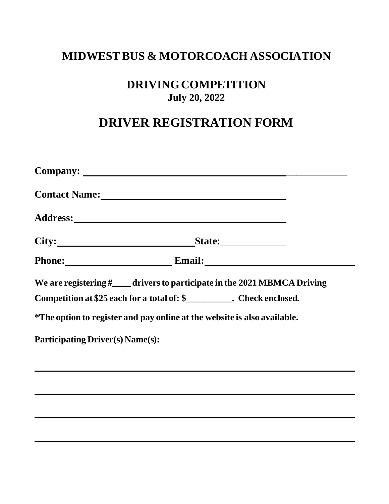## **MIDWEST BUS & MOTORCOACH ASSOCIATION**

### **DRIVING COMPETITION July 20, 2022**

## **DRIVER REGISTRATION FORM**

| City:<br>State:                                                                |  |  |  |
|--------------------------------------------------------------------------------|--|--|--|
| Phone: Email: Email:                                                           |  |  |  |
| We are registering $\#$ _____ drivers to participate in the 2021 MBMCA Driving |  |  |  |
| Competition at \$25 each for a total of: \$___________. Check enclosed.        |  |  |  |
| *The option to register and pay online at the website is also available.       |  |  |  |
| <b>Participating Driver(s) Name(s):</b>                                        |  |  |  |
|                                                                                |  |  |  |